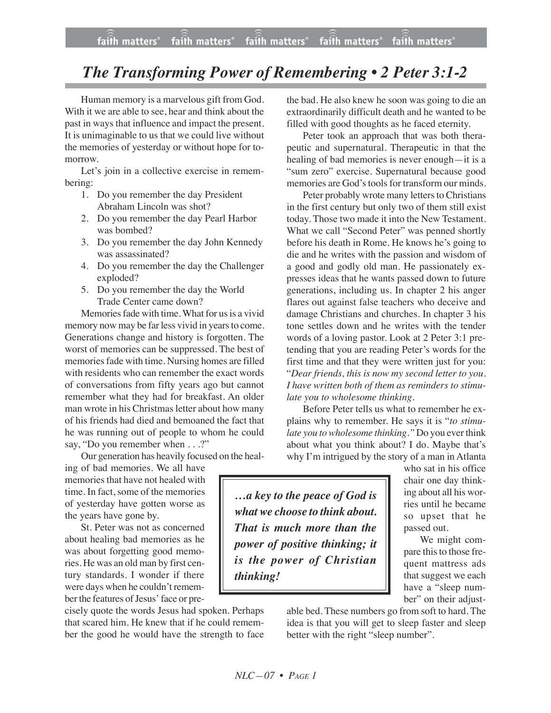## *The Transforming Power of Remembering • 2 Peter 3:1-2*

Human memory is a marvelous gift from God. With it we are able to see, hear and think about the past in ways that influence and impact the present. It is unimaginable to us that we could live without the memories of yesterday or without hope for tomorrow.

Let's join in a collective exercise in remembering:

- 1. Do you remember the day President Abraham Lincoln was shot?
- 2. Do you remember the day Pearl Harbor was bombed?
- 3. Do you remember the day John Kennedy was assassinated?
- 4. Do you remember the day the Challenger exploded?
- 5. Do you remember the day the World Trade Center came down?

Memories fade with time. What for us is a vivid memory now may be far less vivid in years to come. Generations change and history is forgotten. The worst of memories can be suppressed. The best of memories fade with time. Nursing homes are filled with residents who can remember the exact words of conversations from fifty years ago but cannot remember what they had for breakfast. An older man wrote in his Christmas letter about how many of his friends had died and bemoaned the fact that he was running out of people to whom he could say, "Do you remember when . . .?"

Our generation has heavily focused on the heal-

ing of bad memories. We all have memories that have not healed with time. In fact, some of the memories of yesterday have gotten worse as the years have gone by.

St. Peter was not as concerned about healing bad memories as he was about forgetting good memories. He was an old man by first century standards. I wonder if there were days when he couldn't remember the features of Jesus' face or pre-

cisely quote the words Jesus had spoken. Perhaps that scared him. He knew that if he could remember the good he would have the strength to face the bad. He also knew he soon was going to die an extraordinarily difficult death and he wanted to be filled with good thoughts as he faced eternity.

Peter took an approach that was both therapeutic and supernatural. Therapeutic in that the healing of bad memories is never enough—it is a "sum zero" exercise. Supernatural because good memories are God's tools for transform our minds.

Peter probably wrote many letters to Christians in the first century but only two of them still exist today. Those two made it into the New Testament. What we call "Second Peter" was penned shortly before his death in Rome. He knows he's going to die and he writes with the passion and wisdom of a good and godly old man. He passionately expresses ideas that he wants passed down to future generations, including us. In chapter 2 his anger flares out against false teachers who deceive and damage Christians and churches. In chapter 3 his tone settles down and he writes with the tender words of a loving pastor. Look at 2 Peter 3:1 pretending that you are reading Peter's words for the first time and that they were written just for you: "*Dear friends, this is now my second letter to you. I have written both of them as reminders to stimulate you to wholesome thinking.*

Before Peter tells us what to remember he explains why to remember. He says it is "*to stimulate you to wholesome thinking."* Do you ever think about what you think about? I do. Maybe that's why I'm intrigued by the story of a man in Atlanta

*…a key to the peace of God is what we choose to think about. That is much more than the power of positive thinking; it is the power of Christian thinking!*

who sat in his office chair one day thinking about all his worries until he became so upset that he passed out.

We might compare this to those frequent mattress ads that suggest we each have a "sleep number" on their adjust-

able bed. These numbers go from soft to hard. The idea is that you will get to sleep faster and sleep better with the right "sleep number".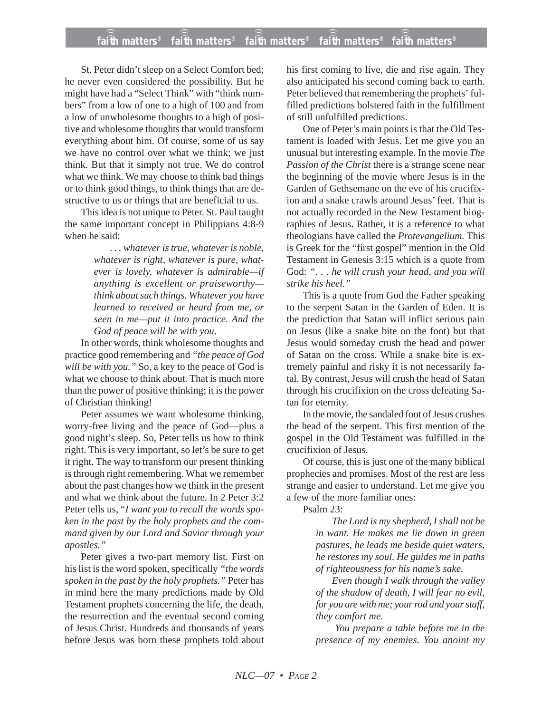St. Peter didn't sleep on a Select Comfort bed; he never even considered the possibility. But he might have had a "Select Think" with "think numbers" from a low of one to a high of 100 and from a low of unwholesome thoughts to a high of positive and wholesome thoughts that would transform everything about him. Of course, some of us say we have no control over what we think; we just think. But that it simply not true. We do control what we think. We may choose to think bad things or to think good things, to think things that are destructive to us or things that are beneficial to us.

This idea is not unique to Peter. St. Paul taught the same important concept in Philippians 4:8-9 when he said:

> *. . . whatever is true, whatever is noble, whatever is right, whatever is pure, whatever is lovely, whatever is admirable—if anything is excellent or praiseworthy think about such things. Whatever you have learned to received or heard from me, or seen in me—put it into practice. And the God of peace will be with you.*

In other words, think wholesome thoughts and practice good remembering and *"the peace of God will be with you."* So, a key to the peace of God is what we choose to think about. That is much more than the power of positive thinking; it is the power of Christian thinking!

Peter assumes we want wholesome thinking, worry-free living and the peace of God—plus a good night's sleep. So, Peter tells us how to think right. This is very important, so let's be sure to get it right. The way to transform our present thinking is through right remembering. What we remember about the past changes how we think in the present and what we think about the future. In 2 Peter 3:2 Peter tells us, "*I want you to recall the words spoken in the past by the holy prophets and the command given by our Lord and Savior through your apostles."*

Peter gives a two-part memory list. First on his list is the word spoken, specifically *"the words spoken in the past by the holy prophets."* Peter has in mind here the many predictions made by Old Testament prophets concerning the life, the death, the resurrection and the eventual second coming of Jesus Christ. Hundreds and thousands of years before Jesus was born these prophets told about his first coming to live, die and rise again. They also anticipated his second coming back to earth. Peter believed that remembering the prophets' fulfilled predictions bolstered faith in the fulfillment of still unfulfilled predictions.

One of Peter's main points is that the Old Testament is loaded with Jesus. Let me give you an unusual but interesting example. In the movie *The Passion of the Christ* there is a strange scene near the beginning of the movie where Jesus is in the Garden of Gethsemane on the eve of his crucifixion and a snake crawls around Jesus' feet. That is not actually recorded in the New Testament biographies of Jesus. Rather, it is a reference to what theologians have called the *Protevangelium.* This is Greek for the "first gospel" mention in the Old Testament in Genesis 3:15 which is a quote from God: *". . . he will crush your head, and you will strike his heel."*

This is a quote from God the Father speaking to the serpent Satan in the Garden of Eden. It is the prediction that Satan will inflict serious pain on Jesus (like a snake bite on the foot) but that Jesus would someday crush the head and power of Satan on the cross. While a snake bite is extremely painful and risky it is not necessarily fatal. By contrast, Jesus will crush the head of Satan through his crucifixion on the cross defeating Satan for eternity.

In the movie, the sandaled foot of Jesus crushes the head of the serpent. This first mention of the gospel in the Old Testament was fulfilled in the crucifixion of Jesus.

Of course, this is just one of the many biblical prophecies and promises. Most of the rest are less strange and easier to understand. Let me give you a few of the more familiar ones:

Psalm 23:

*The Lord is my shepherd, I shall not be in want. He makes me lie down in green pastures, he leads me beside quiet waters, he restores my soul. He guides me in paths of righteousness for his name's sake.*

*Even though I walk through the valley of the shadow of death, I will fear no evil, for you are with me; your rod and your staff, they comfort me.*

*You prepare a table before me in the presence of my enemies. You anoint my*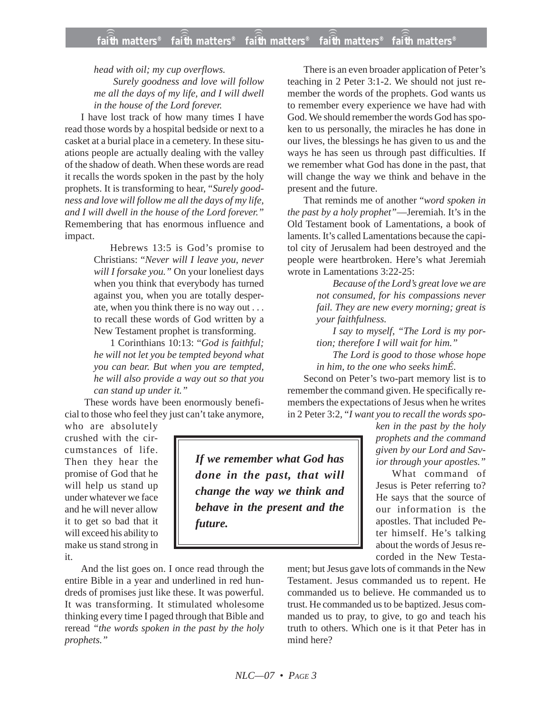*head with oil; my cup overflows. Surely goodness and love will follow me all the days of my life, and I will dwell in the house of the Lord forever.*

I have lost track of how many times I have read those words by a hospital bedside or next to a casket at a burial place in a cemetery. In these situations people are actually dealing with the valley of the shadow of death. When these words are read it recalls the words spoken in the past by the holy prophets. It is transforming to hear, "*Surely goodness and love will follow me all the days of my life, and I will dwell in the house of the Lord forever."* Remembering that has enormous influence and impact.

> Hebrews 13:5 is God's promise to Christians: "*Never will I leave you, never will I forsake you."* On your loneliest days when you think that everybody has turned against you, when you are totally desperate, when you think there is no way out . . . to recall these words of God written by a New Testament prophet is transforming.

> 1 Corinthians 10:13: "*God is faithful; he will not let you be tempted beyond what you can bear. But when you are tempted, he will also provide a way out so that you can stand up under it."*

These words have been enormously beneficial to those who feel they just can't take anymore,

who are absolutely crushed with the circumstances of life. Then they hear the promise of God that he will help us stand up under whatever we face and he will never allow it to get so bad that it will exceed his ability to make us stand strong in it.

And the list goes on. I once read through the entire Bible in a year and underlined in red hundreds of promises just like these. It was powerful. It was transforming. It stimulated wholesome thinking every time I paged through that Bible and reread *"the words spoken in the past by the holy prophets."*

There is an even broader application of Peter's teaching in 2 Peter 3:1-2. We should not just remember the words of the prophets. God wants us to remember every experience we have had with God. We should remember the words God has spoken to us personally, the miracles he has done in our lives, the blessings he has given to us and the ways he has seen us through past difficulties. If we remember what God has done in the past, that will change the way we think and behave in the present and the future.

That reminds me of another "*word spoken in the past by a holy prophet"*—Jeremiah. It's in the Old Testament book of Lamentations, a book of laments. It's called Lamentations because the capitol city of Jerusalem had been destroyed and the people were heartbroken. Here's what Jeremiah wrote in Lamentations 3:22-25:

> *Because of the Lord's great love we are not consumed, for his compassions never fail. They are new every morning; great is your faithfulness.*

*I say to myself, "The Lord is my portion; therefore I will wait for him."*

*The Lord is good to those whose hope in him, to the one who seeks himÉ.*

Second on Peter's two-part memory list is to remember the command given. He specifically remembers the expectations of Jesus when he writes in 2 Peter 3:2, "*I want you to recall the words spo-*

> *ken in the past by the holy prophets and the command given by our Lord and Savior through your apostles."*

> What command of Jesus is Peter referring to? He says that the source of our information is the apostles. That included Peter himself. He's talking about the words of Jesus recorded in the New Testa-

ment; but Jesus gave lots of commands in the New Testament. Jesus commanded us to repent. He commanded us to believe. He commanded us to trust. He commanded us to be baptized. Jesus commanded us to pray, to give, to go and teach his truth to others. Which one is it that Peter has in mind here?

*If we remember what God has done in the past, that will change the way we think and behave in the present and the future.*